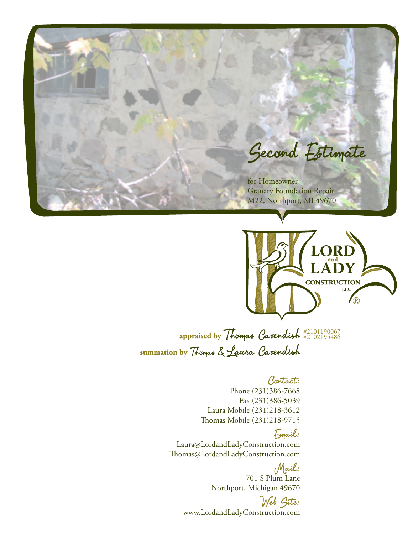



**appraised by** Thomas Cavendish #2101190067 **summation by** Thomas & Laura Cavendish #2102195486

## Contact:

Phone (231)386-7668 Fax (231)386-5039 Laura Mobile (231)218-3612 Thomas Mobile (231)218-9715

## Email:

Laura@LordandLadyConstruction.com Thomas@LordandLadyConstruction.com

> Mail: 701 S Plum Lane Northport, Michigan 49670

Web Site: www.LordandLadyConstruction.com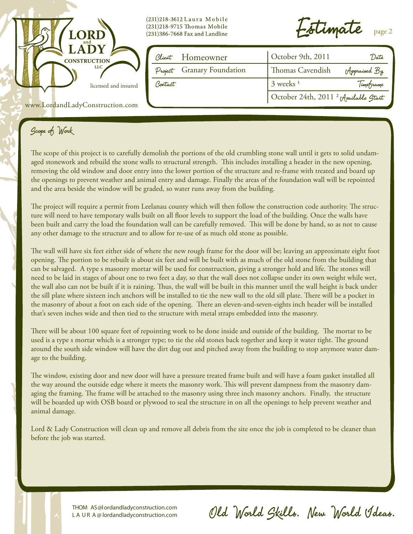

(231)218-3612 Laura Mobile (231)218-9715 Thomas Mobile (231)386-7668 Fax and Landline

 $\epsilon$ timate  $_{\tt page\,2}$ 

|         | Client Homeowner           | October 9th, 2011                               | 'Date        |  |
|---------|----------------------------|-------------------------------------------------|--------------|--|
|         | Project Granary Foundation | Thomas Cavendish                                | Appraised By |  |
| Contact |                            | $3$ weeks <sup>1</sup>                          | Timeframe    |  |
|         |                            | October 24th, 2011 <sup>2</sup> Available Start |              |  |

www.LordandLadyConstruction.com

# Scope of Work

The scope of this project is to carefully demolish the portions of the old crumbling stone wall until it gets to solid undamaged stonework and rebuild the stone walls to structural strength. This includes installing a header in the new opening, removing the old window and door entry into the lower portion of the structure and re-frame with treated and board up the openings to prevent weather and animal entry and damage. Finally the areas of the foundation wall will be repointed and the area beside the window will be graded, so water runs away from the building.

The project will require a permit from Leelanau county which will then follow the construction code authority. The structure will need to have temporary walls built on all floor levels to support the load of the building. Once the walls have been built and carry the load the foundation wall can be carefully removed. This will be done by hand, so as not to cause any other damage to the structure and to allow for re-use of as much old stone as possible.

The wall will have six feet either side of where the new rough frame for the door will be; leaving an approximate eight foot opening. The portion to be rebuilt is about six feet and will be built with as much of the old stone from the building that can be salvaged. A type s masonry mortar will be used for construction, giving a stronger hold and life. The stones will need to be laid in stages of about one to two feet a day, so that the wall does not collapse under its own weight while wet, the wall also can not be built if it is raining. Thus, the wall will be built in this manner until the wall height is back under the sill plate where sixteen inch anchors will be installed to tie the new wall to the old sill plate. There will be a pocket in the masonry of about a foot on each side of the opening. There an eleven-and-seven-eights inch header will be installed that's seven inches wide and then tied to the structure with metal straps embedded into the masonry.

There will be about 100 square feet of repointing work to be done inside and outside of the building. The mortar to be used is a type s mortar which is a stronger type; to tie the old stones back together and keep it water tight. The ground around the south side window will have the dirt dug out and pitched away from the building to stop anymore water damage to the building.

The window, existing door and new door will have a pressure treated frame built and will have a foam gasket installed all the way around the outside edge where it meets the masonry work. This will prevent dampness from the masonry damaging the framing. The frame will be attached to the masonry using three inch masonry anchors. Finally, the structure will be boarded up with OSB board or plywood to seal the structure in on all the openings to help prevent weather and animal damage.

Lord & Lady Construction will clean up and remove all debris from the site once the job is completed to be cleaner than before the job was started.

> THOM AS@lordandladyconstruction.com L A U R A @ lordandladyconstruction.com

Old World Skills. New World Ideas.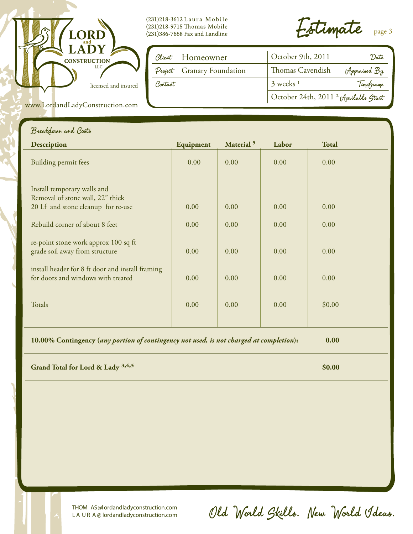

www.LordandLadyConstruction.com

(231)218-3612 Laura Mobile (231)218-9715 Thomas Mobile  $(231)386$ -7668 Fax and Landline

Estimate page 3

|         | Client Homeowner           | October 9th, 2011                               | 'Date        |  |
|---------|----------------------------|-------------------------------------------------|--------------|--|
|         | Project Granary Foundation | <b>Thomas Cavendish</b>                         | Appraised By |  |
| Contact |                            | $3$ weeks <sup>1</sup>                          | Timeframe    |  |
|         |                            | October 24th, 2011 <sup>2</sup> Available Start |              |  |

## Breakdown and Costs

| <b>Description</b>                                                                                    | Equipment | Material <sup>5</sup> | Labor | <b>Total</b> |
|-------------------------------------------------------------------------------------------------------|-----------|-----------------------|-------|--------------|
| Building permit fees                                                                                  | 0.00      | 0.00                  | 0.00  | 0.00         |
| Install temporary walls and<br>Removal of stone wall, 22" thick<br>20 Lf and stone cleanup for re-use | 0.00      | 0.00                  | 0.00  | 0.00         |
| Rebuild corner of about 8 feet                                                                        | 0.00      | 0.00                  | 0.00  | 0.00         |
| re-point stone work approx 100 sq ft<br>grade soil away from structure                                | 0.00      | 0.00                  | 0.00  | 0.00         |
| install header for 8 ft door and install framing<br>for doors and windows with treated                | 0.00      | 0.00                  | 0.00  | 0.00         |
| Totals                                                                                                | 0.00      | 0.00                  | 0.00  | \$0.00       |
|                                                                                                       |           |                       |       |              |

**10.00% Contingency (***any portion of contingency not used, is not charged at completion***): 0.00**

**Grand Total for Lord & Lady <sup>3,4,5</sup> \$0.00** \$0.00

THOM AS@lordandladyconstruction.com L A U R A @ lordandladyconstruction.com Old World Skills. New World Ideas.